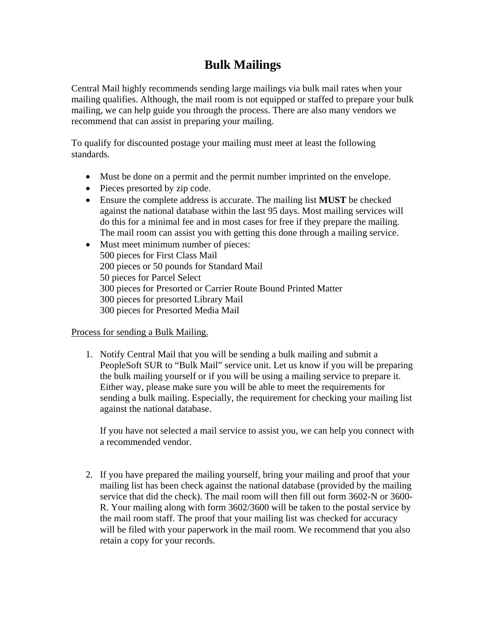## **Bulk Mailings**

Central Mail highly recommends sending large mailings via bulk mail rates when your mailing qualifies. Although, the mail room is not equipped or staffed to prepare your bulk mailing, we can help guide you through the process. There are also many vendors we recommend that can assist in preparing your mailing.

To qualify for discounted postage your mailing must meet at least the following standards.

- Must be done on a permit and the permit number imprinted on the envelope.
- Pieces presorted by zip code.
- Ensure the complete address is accurate. The mailing list **MUST** be checked against the national database within the last 95 days. Most mailing services will do this for a minimal fee and in most cases for free if they prepare the mailing. The mail room can assist you with getting this done through a mailing service.
- Must meet minimum number of pieces: 500 pieces for First Class Mail 200 pieces or 50 pounds for Standard Mail 50 pieces for Parcel Select 300 pieces for Presorted or Carrier Route Bound Printed Matter 300 pieces for presorted Library Mail 300 pieces for Presorted Media Mail

## Process for sending a Bulk Mailing.

1. Notify Central Mail that you will be sending a bulk mailing and submit a PeopleSoft SUR to "Bulk Mail" service unit. Let us know if you will be preparing the bulk mailing yourself or if you will be using a mailing service to prepare it. Either way, please make sure you will be able to meet the requirements for sending a bulk mailing. Especially, the requirement for checking your mailing list against the national database.

If you have not selected a mail service to assist you, we can help you connect with a recommended vendor.

2. If you have prepared the mailing yourself, bring your mailing and proof that your mailing list has been check against the national database (provided by the mailing service that did the check). The mail room will then fill out form 3602-N or 3600- R. Your mailing along with form 3602/3600 will be taken to the postal service by the mail room staff. The proof that your mailing list was checked for accuracy will be filed with your paperwork in the mail room. We recommend that you also retain a copy for your records.